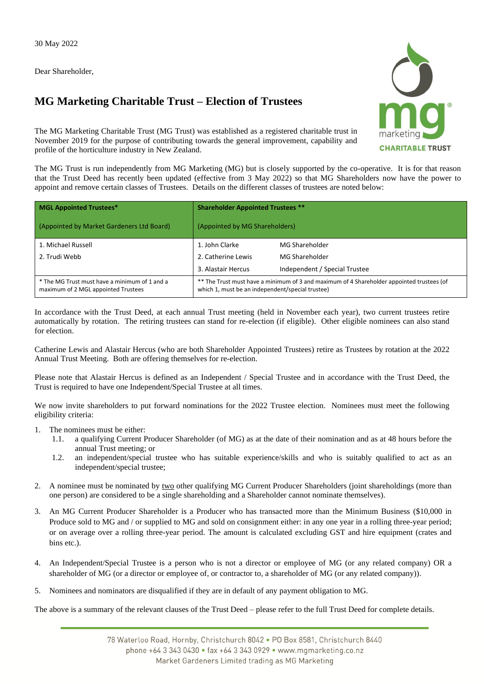Dear Shareholder,

## **MG Marketing Charitable Trust – Election of Trustees**



The MG Marketing Charitable Trust (MG Trust) was established as a registered charitable trust in November 2019 for the purpose of contributing towards the general improvement, capability and profile of the horticulture industry in New Zealand.

The MG Trust is run independently from MG Marketing (MG) but is closely supported by the co-operative. It is for that reason that the Trust Deed has recently been updated (effective from 3 May 2022) so that MG Shareholders now have the power to appoint and remove certain classes of Trustees. Details on the different classes of trustees are noted below:

| <b>MGL Appointed Trustees*</b>                                                       | <b>Shareholder Appointed Trustees **</b>                                                                                                      |                               |  |  |
|--------------------------------------------------------------------------------------|-----------------------------------------------------------------------------------------------------------------------------------------------|-------------------------------|--|--|
| (Appointed by Market Gardeners Ltd Board)                                            | (Appointed by MG Shareholders)                                                                                                                |                               |  |  |
| 1. Michael Russell                                                                   | 1. John Clarke                                                                                                                                | MG Shareholder                |  |  |
| 2. Trudi Webb                                                                        | 2. Catherine Lewis                                                                                                                            | MG Shareholder                |  |  |
|                                                                                      | 3. Alastair Hercus                                                                                                                            | Independent / Special Trustee |  |  |
| * The MG Trust must have a minimum of 1 and a<br>maximum of 2 MGL appointed Trustees | ** The Trust must have a minimum of 3 and maximum of 4 Shareholder appointed trustees (of<br>which 1, must be an independent/special trustee) |                               |  |  |

In accordance with the Trust Deed, at each annual Trust meeting (held in November each year), two current trustees retire automatically by rotation. The retiring trustees can stand for re-election (if eligible). Other eligible nominees can also stand for election.

Catherine Lewis and Alastair Hercus (who are both Shareholder Appointed Trustees) retire as Trustees by rotation at the 2022 Annual Trust Meeting. Both are offering themselves for re-election.

Please note that Alastair Hercus is defined as an Independent / Special Trustee and in accordance with the Trust Deed, the Trust is required to have one Independent/Special Trustee at all times.

We now invite shareholders to put forward nominations for the 2022 Trustee election. Nominees must meet the following eligibility criteria:

- 1. The nominees must be either:
	- 1.1. a qualifying Current Producer Shareholder (of MG) as at the date of their nomination and as at 48 hours before the annual Trust meeting; or
	- 1.2. an independent/special trustee who has suitable experience/skills and who is suitably qualified to act as an independent/special trustee;
- 2. A nominee must be nominated by two other qualifying MG Current Producer Shareholders (joint shareholdings (more than one person) are considered to be a single shareholding and a Shareholder cannot nominate themselves).
- 3. An MG Current Producer Shareholder is a Producer who has transacted more than the Minimum Business (\$10,000 in Produce sold to MG and / or supplied to MG and sold on consignment either: in any one year in a rolling three-year period; or on average over a rolling three-year period. The amount is calculated excluding GST and hire equipment (crates and bins etc.).
- 4. An Independent/Special Trustee is a person who is not a director or employee of MG (or any related company) OR a shareholder of MG (or a director or employee of, or contractor to, a shareholder of MG (or any related company)).
- 5. Nominees and nominators are disqualified if they are in default of any payment obligation to MG.

The above is a summary of the relevant clauses of the Trust Deed – please refer to the full Trust Deed for complete details.